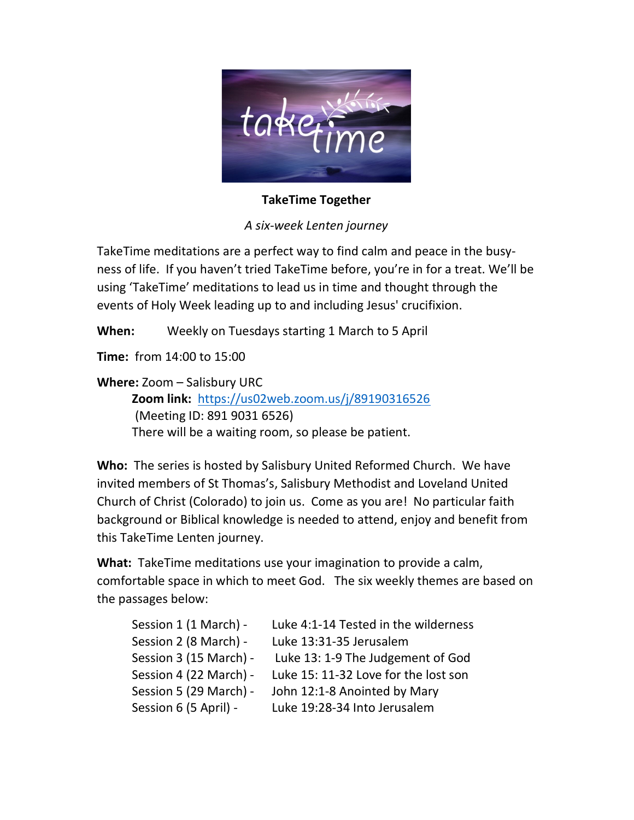

TakeTime Together

A six-week Lenten journey

TakeTime meditations are a perfect way to find calm and peace in the busyness of life. If you haven't tried TakeTime before, you're in for a treat. We'll be using 'TakeTime' meditations to lead us in time and thought through the events of Holy Week leading up to and including Jesus' crucifixion.

When: Weekly on Tuesdays starting 1 March to 5 April

Time: from 14:00 to 15:00

Where: Zoom – Salisbury URC Zoom link: https://us02web.zoom.us/j/89190316526 (Meeting ID: 891 9031 6526)

There will be a waiting room, so please be patient.

Who: The series is hosted by Salisbury United Reformed Church. We have invited members of St Thomas's, Salisbury Methodist and Loveland United Church of Christ (Colorado) to join us. Come as you are! No particular faith background or Biblical knowledge is needed to attend, enjoy and benefit from this TakeTime Lenten journey.

What: TakeTime meditations use your imagination to provide a calm, comfortable space in which to meet God. The six weekly themes are based on the passages below:

| Session 1 (1 March) -  | Luke 4:1-14 Tested in the wilderness |
|------------------------|--------------------------------------|
| Session 2 (8 March) -  | Luke 13:31-35 Jerusalem              |
| Session 3 (15 March) - | Luke 13: 1-9 The Judgement of God    |
| Session 4 (22 March) - | Luke 15: 11-32 Love for the lost son |
| Session 5 (29 March) - | John 12:1-8 Anointed by Mary         |
| Session 6 (5 April) -  | Luke 19:28-34 Into Jerusalem         |